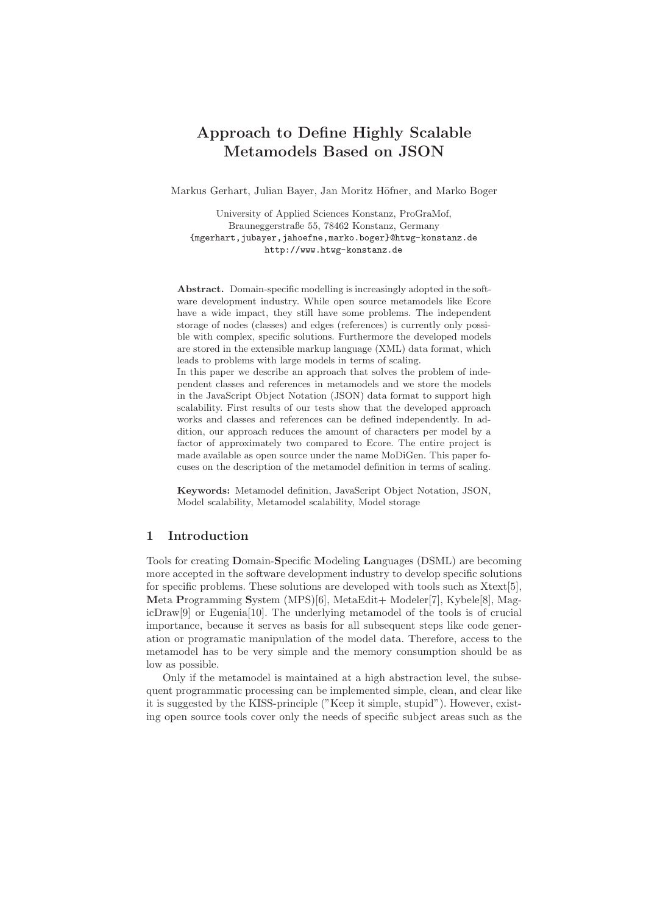# Approach to Define Highly Scalable Metamodels Based on JSON

Markus Gerhart, Julian Bayer, Jan Moritz Höfner, and Marko Boger

University of Applied Sciences Konstanz, ProGraMof, Brauneggerstraße 55, 78462 Konstanz, Germany {mgerhart,jubayer,jahoefne,marko.boger}@htwg-konstanz.de http://www.htwg-konstanz.de

Abstract. Domain-specific modelling is increasingly adopted in the software development industry. While open source metamodels like Ecore have a wide impact, they still have some problems. The independent storage of nodes (classes) and edges (references) is currently only possible with complex, specific solutions. Furthermore the developed models are stored in the extensible markup language (XML) data format, which leads to problems with large models in terms of scaling.

In this paper we describe an approach that solves the problem of independent classes and references in metamodels and we store the models in the JavaScript Object Notation (JSON) data format to support high scalability. First results of our tests show that the developed approach works and classes and references can be defined independently. In addition, our approach reduces the amount of characters per model by a factor of approximately two compared to Ecore. The entire project is made available as open source under the name MoDiGen. This paper focuses on the description of the metamodel definition in terms of scaling.

Keywords: Metamodel definition, JavaScript Object Notation, JSON, Model scalability, Metamodel scalability, Model storage

### 1 Introduction

Tools for creating Domain-Specific Modeling Languages (DSML) are becoming more accepted in the software development industry to develop specific solutions for specific problems. These solutions are developed with tools such as Xtext[5], Meta Programming System (MPS)[6], MetaEdit+ Modeler[7], Kybele[8], MagicDraw[9] or Eugenia[10]. The underlying metamodel of the tools is of crucial importance, because it serves as basis for all subsequent steps like code generation or programatic manipulation of the model data. Therefore, access to the metamodel has to be very simple and the memory consumption should be as low as possible.

Only if the metamodel is maintained at a high abstraction level, the subsequent programmatic processing can be implemented simple, clean, and clear like it is suggested by the KISS-principle ("Keep it simple, stupid"). However, existing open source tools cover only the needs of specific subject areas such as the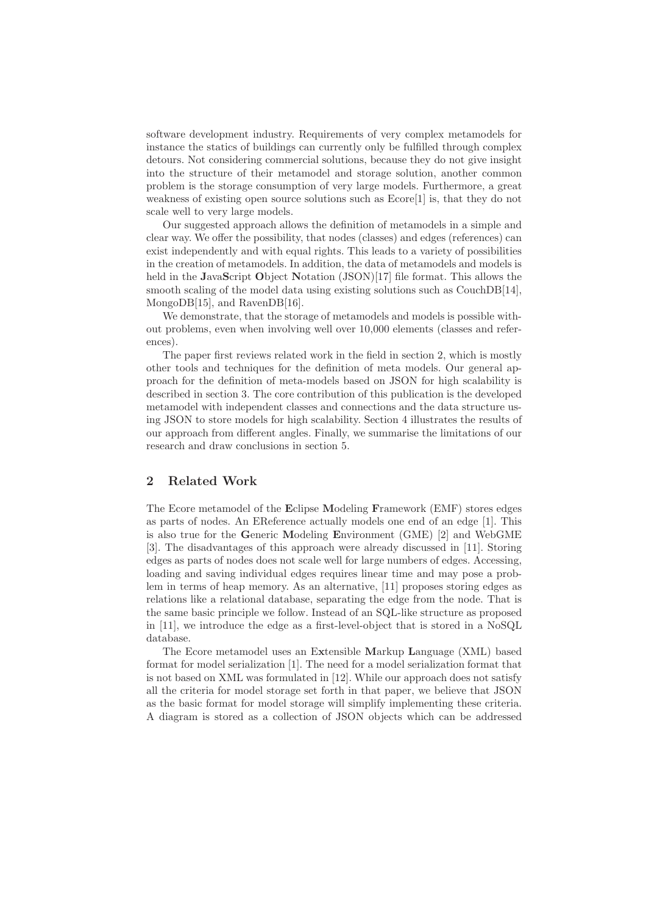software development industry. Requirements of very complex metamodels for instance the statics of buildings can currently only be fulfilled through complex detours. Not considering commercial solutions, because they do not give insight into the structure of their metamodel and storage solution, another common problem is the storage consumption of very large models. Furthermore, a great weakness of existing open source solutions such as Ecore[1] is, that they do not scale well to very large models.

Our suggested approach allows the definition of metamodels in a simple and clear way. We offer the possibility, that nodes (classes) and edges (references) can exist independently and with equal rights. This leads to a variety of possibilities in the creation of metamodels. In addition, the data of metamodels and models is held in the JavaScript Object Notation (JSON)[17] file format. This allows the smooth scaling of the model data using existing solutions such as CouchDB[14], MongoDB[15], and RavenDB[16].

We demonstrate, that the storage of metamodels and models is possible without problems, even when involving well over 10,000 elements (classes and references).

The paper first reviews related work in the field in section 2, which is mostly other tools and techniques for the definition of meta models. Our general approach for the definition of meta-models based on JSON for high scalability is described in section 3. The core contribution of this publication is the developed metamodel with independent classes and connections and the data structure using JSON to store models for high scalability. Section 4 illustrates the results of our approach from different angles. Finally, we summarise the limitations of our research and draw conclusions in section 5.

### 2 Related Work

The Ecore metamodel of the Eclipse Modeling Framework (EMF) stores edges as parts of nodes. An EReference actually models one end of an edge [1]. This is also true for the Generic Modeling Environment (GME) [2] and WebGME [3]. The disadvantages of this approach were already discussed in [11]. Storing edges as parts of nodes does not scale well for large numbers of edges. Accessing, loading and saving individual edges requires linear time and may pose a problem in terms of heap memory. As an alternative, [11] proposes storing edges as relations like a relational database, separating the edge from the node. That is the same basic principle we follow. Instead of an SQL-like structure as proposed in [11], we introduce the edge as a first-level-object that is stored in a NoSQL database.

The Ecore metamodel uses an Extensible Markup Language (XML) based format for model serialization [1]. The need for a model serialization format that is not based on XML was formulated in [12]. While our approach does not satisfy all the criteria for model storage set forth in that paper, we believe that JSON as the basic format for model storage will simplify implementing these criteria. A diagram is stored as a collection of JSON objects which can be addressed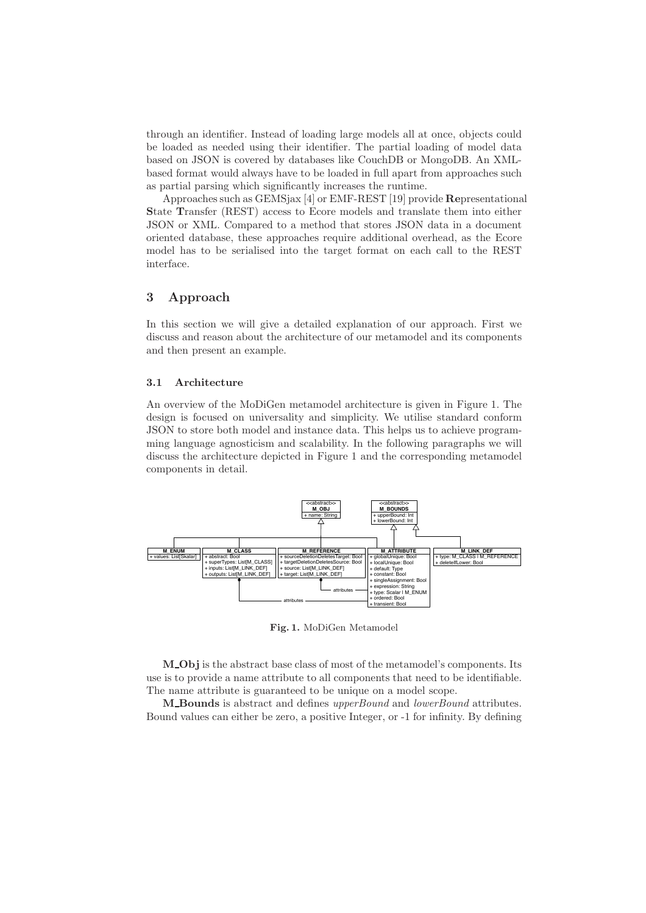through an identifier. Instead of loading large models all at once, objects could be loaded as needed using their identifier. The partial loading of model data based on JSON is covered by databases like CouchDB or MongoDB. An XMLbased format would always have to be loaded in full apart from approaches such as partial parsing which significantly increases the runtime.

Approaches such as GEMSjax [4] or EMF-REST [19] provide Representational State Transfer (REST) access to Ecore models and translate them into either JSON or XML. Compared to a method that stores JSON data in a document oriented database, these approaches require additional overhead, as the Ecore model has to be serialised into the target format on each call to the REST interface.

### 3 Approach

In this section we will give a detailed explanation of our approach. First we discuss and reason about the architecture of our metamodel and its components and then present an example.

#### 3.1 Architecture

An overview of the MoDiGen metamodel architecture is given in Figure 1. The design is focused on universality and simplicity. We utilise standard conform JSON to store both model and instance data. This helps us to achieve programming language agnosticism and scalability. In the following paragraphs we will discuss the architecture depicted in Figure 1 and the corresponding metamodel components in detail.



Fig. 1. MoDiGen Metamodel

M Obj is the abstract base class of most of the metamodel's components. Its use is to provide a name attribute to all components that need to be identifiable. The name attribute is guaranteed to be unique on a model scope.

M Bounds is abstract and defines upperBound and lowerBound attributes. Bound values can either be zero, a positive Integer, or -1 for infinity. By defining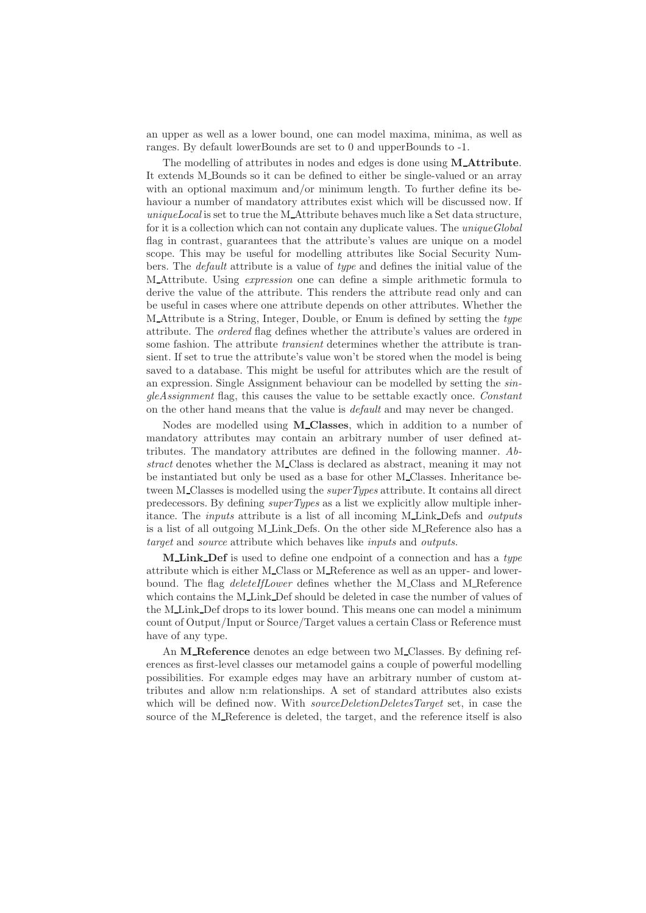an upper as well as a lower bound, one can model maxima, minima, as well as ranges. By default lowerBounds are set to 0 and upperBounds to -1.

The modelling of attributes in nodes and edges is done using **M\_Attribute**. It extends M\_Bounds so it can be defined to either be single-valued or an array with an optional maximum and/or minimum length. To further define its behaviour a number of mandatory attributes exist which will be discussed now. If uniqueLocal is set to true the M\_Attribute behaves much like a Set data structure, for it is a collection which can not contain any duplicate values. The *uniqueGlobal* flag in contrast, guarantees that the attribute's values are unique on a model scope. This may be useful for modelling attributes like Social Security Numbers. The default attribute is a value of type and defines the initial value of the M Attribute. Using expression one can define a simple arithmetic formula to derive the value of the attribute. This renders the attribute read only and can be useful in cases where one attribute depends on other attributes. Whether the M Attribute is a String, Integer, Double, or Enum is defined by setting the type attribute. The ordered flag defines whether the attribute's values are ordered in some fashion. The attribute *transient* determines whether the attribute is transient. If set to true the attribute's value won't be stored when the model is being saved to a database. This might be useful for attributes which are the result of an expression. Single Assignment behaviour can be modelled by setting the singleAssignment flag, this causes the value to be settable exactly once. Constant on the other hand means that the value is default and may never be changed.

Nodes are modelled using **M\_Classes**, which in addition to a number of mandatory attributes may contain an arbitrary number of user defined attributes. The mandatory attributes are defined in the following manner. Abstract denotes whether the M\_Class is declared as abstract, meaning it may not be instantiated but only be used as a base for other M Classes. Inheritance between M\_Classes is modelled using the *superTypes* attribute. It contains all direct predecessors. By defining superTypes as a list we explicitly allow multiple inheritance. The inputs attribute is a list of all incoming M Link Defs and outputs is a list of all outgoing M\_Link\_Defs. On the other side M\_Reference also has a target and source attribute which behaves like inputs and outputs.

M Link Def is used to define one endpoint of a connection and has a type attribute which is either M Class or M Reference as well as an upper- and lowerbound. The flag *deleteIfLower* defines whether the M\_Class and M\_Reference which contains the M\_Link\_Def should be deleted in case the number of values of the M Link Def drops to its lower bound. This means one can model a minimum count of Output/Input or Source/Target values a certain Class or Reference must have of any type.

An M\_Reference denotes an edge between two M\_Classes. By defining references as first-level classes our metamodel gains a couple of powerful modelling possibilities. For example edges may have an arbitrary number of custom attributes and allow n:m relationships. A set of standard attributes also exists which will be defined now. With *sourceDeletionDeletesTarget* set, in case the source of the M\_Reference is deleted, the target, and the reference itself is also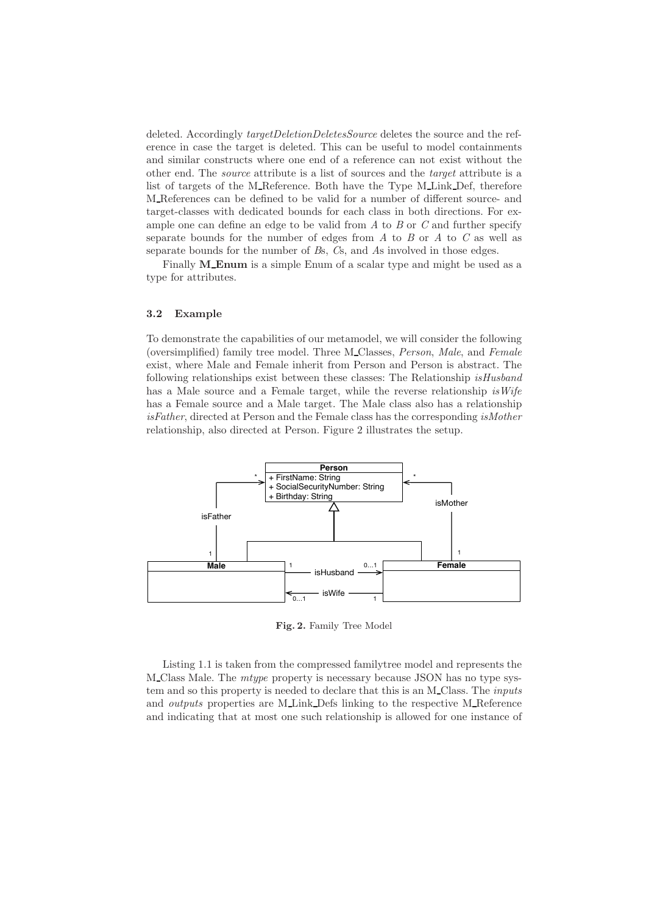deleted. Accordingly *targetDeletionDeletesSource* deletes the source and the reference in case the target is deleted. This can be useful to model containments and similar constructs where one end of a reference can not exist without the other end. The source attribute is a list of sources and the target attribute is a list of targets of the M\_Reference. Both have the Type M\_Link\_Def, therefore M References can be defined to be valid for a number of different source- and target-classes with dedicated bounds for each class in both directions. For example one can define an edge to be valid from  $A$  to  $B$  or  $C$  and further specify separate bounds for the number of edges from  $A$  to  $B$  or  $A$  to  $C$  as well as separate bounds for the number of Bs, Cs, and As involved in those edges.

Finally **M\_Enum** is a simple Enum of a scalar type and might be used as a type for attributes.

### 3.2 Example

To demonstrate the capabilities of our metamodel, we will consider the following (oversimplified) family tree model. Three M Classes, Person, Male, and Female exist, where Male and Female inherit from Person and Person is abstract. The following relationships exist between these classes: The Relationship isHusband has a Male source and a Female target, while the reverse relationship is  $Wife$ has a Female source and a Male target. The Male class also has a relationship isFather, directed at Person and the Female class has the corresponding isMother relationship, also directed at Person. Figure 2 illustrates the setup.



Fig. 2. Family Tree Model

Listing 1.1 is taken from the compressed familytree model and represents the M Class Male. The mtype property is necessary because JSON has no type system and so this property is needed to declare that this is an M\_Class. The *inputs* and outputs properties are M Link Defs linking to the respective M Reference and indicating that at most one such relationship is allowed for one instance of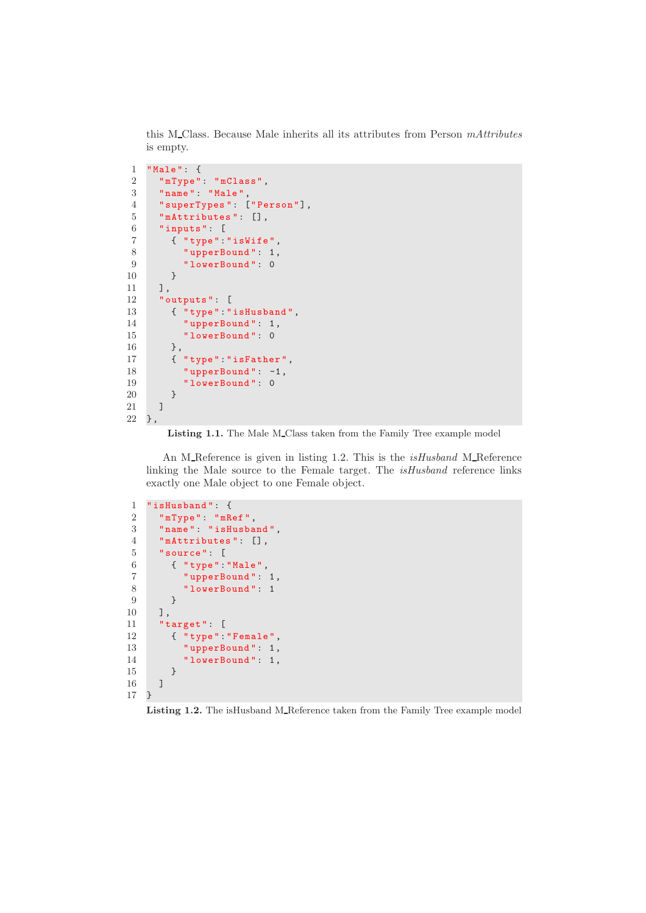this M\_Class. Because Male inherits all its attributes from Person mAttributes is empty.

```
1 " Male ": {
 2 "mType": "mClass",
 3 " name ": " Male ",
4 " superTypes ": [" Person "],
5 " mAttributes ": [] ,
6 "inputs": [
7 { " type ":" isWife ",
8 " upperBound": 1,
9 "lowerBound": 0
10 }
11 \quad 1,12 " outputs ": [
13 { "type": "isHusband",
14 " upperBound": 1,
15 "lowerBound": 0
16 },
17 { "type": "isFather",
18 " upperBound": -1,
19 "lowerBound": 0
20 }
21 ]
22 },
```
Listing 1.1. The Male M\_Class taken from the Family Tree example model

An M Reference is given in listing 1.2. This is the *isHusband* M Reference linking the Male source to the Female target. The isHusband reference links exactly one Male object to one Female object.

```
1 " isHusband ": {
2 " mType ": " mRef ",
3 " name ": " isHusband ",
4 " mAttributes ": [] ,
5 " source ": [
6 { " type ":" Male ",
7 marries and ": 1,<br>
8 marries of "lowerBound": 1
           " lowerBound": 1
9 }
10 ],
11 " target ": [
12 { "type": "Female",
13 " upperBound": 1,
14 "lowerBound": 1,
\begin{matrix} 15 & & \\ 16 & & \end{matrix}\frac{16}{17} }
17 }
```
Listing 1.2. The isHusband M\_Reference taken from the Family Tree example model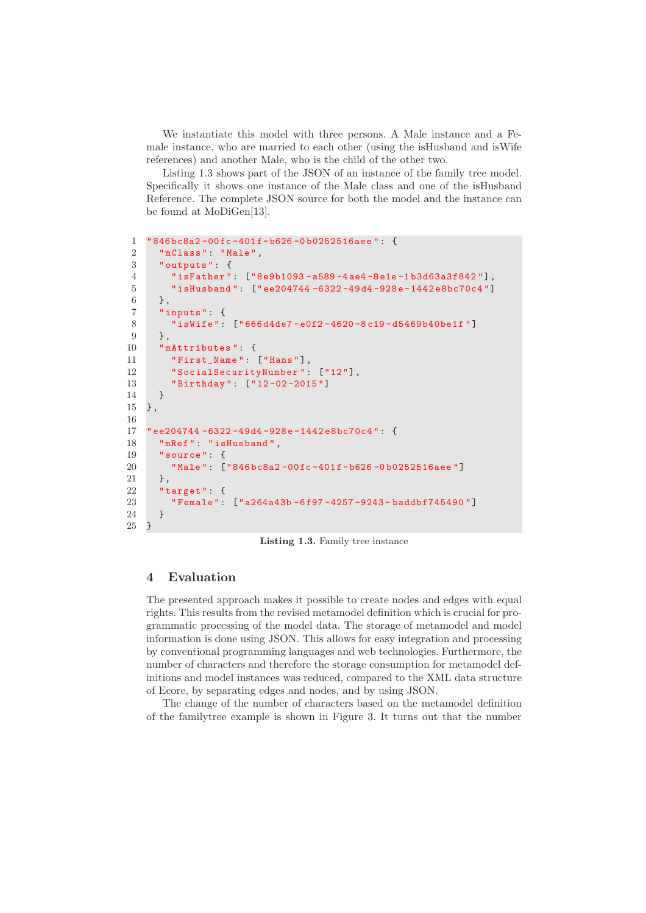We instantiate this model with three persons. A Male instance and a Female instance, who are married to each other (using the isHusband and isWife references) and another Male, who is the child of the other two.

Listing 1.3 shows part of the JSON of an instance of the family tree model. Specifically it shows one instance of the Male class and one of the isHusband Reference. The complete JSON source for both the model and the instance can be found at MoDiGen[13].

```
1 " 846 bc8a2 -00 fc -401 f - b626 -0 b0252516aee ": {
 2 " mClass ": " Male ",
 3 " outputs ": {
 4 " isFather ": ["8 e9b1093 - a589 -4 ae4 -8 e1e -1 b3d63a3f842 "],
 5 " isHusband ": [" ee204744 -6322 -49 d4 -928 e -1442 e8bc70c4 "]
 6 },
 7 " inputs ": {
 8 " isWife ": [" 666 d4de7 - e0f2 -4620 -8 c19 - d5469b40be1f "]
 9 },
10 " mAttributes ": {
11 First_Name": ["Hans"],
12 "SocialSecurityNumber": ["12"],
13 " Birthday ": [" 12 -02 -2015 "]
14 }
15 },
16
17 " ee204744 -6322 -49 d4 -928 e -1442 e8bc70c4 ": {
18 " mRef ": " isHusband ",
19 " source ": {
20 " Male ": [" 846 bc8a2 -00 fc -401 f - b626 -0 b0252516aee "]
21 \qquad \quad \  \, \text{ }3 \text{ ,}22 " target ": {
23 " Female ": [" a264a43b -6 f97 -4257 -9243 - baddbf745490 "]
24 }
25 }
```
Listing 1.3. Family tree instance

# 4 Evaluation

The presented approach makes it possible to create nodes and edges with equal rights. This results from the revised metamodel definition which is crucial for programmatic processing of the model data. The storage of metamodel and model information is done using JSON. This allows for easy integration and processing by conventional programming languages and web technologies. Furthermore, the number of characters and therefore the storage consumption for metamodel definitions and model instances was reduced, compared to the XML data structure of Ecore, by separating edges and nodes, and by using JSON.

The change of the number of characters based on the metamodel definition of the familytree example is shown in Figure 3. It turns out that the number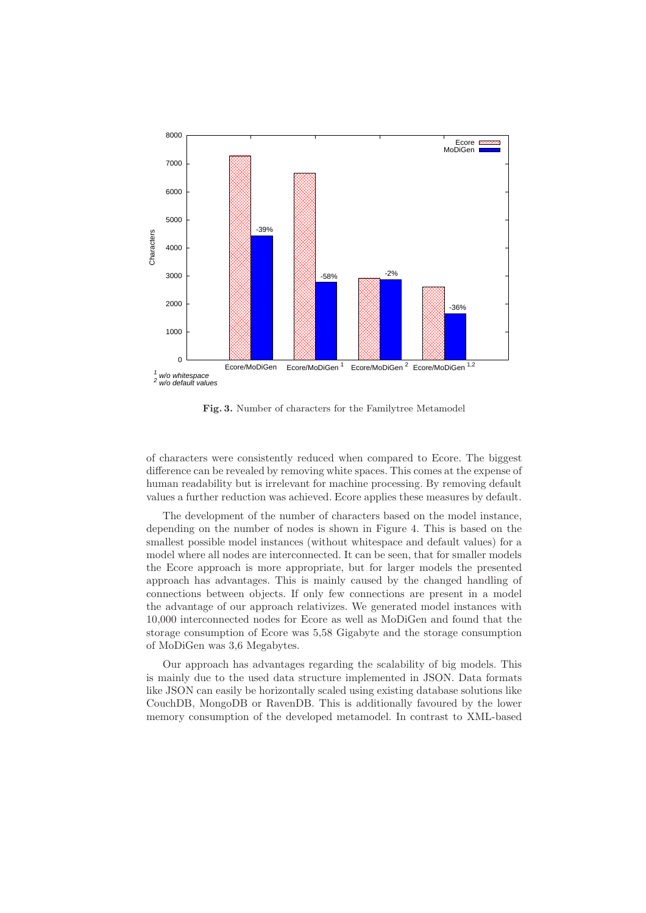

Fig. 3. Number of characters for the Familytree Metamodel

of characters were consistently reduced when compared to Ecore. The biggest difference can be revealed by removing white spaces. This comes at the expense of human readability but is irrelevant for machine processing. By removing default values a further reduction was achieved. Ecore applies these measures by default.

The development of the number of characters based on the model instance, depending on the number of nodes is shown in Figure 4. This is based on the smallest possible model instances (without whitespace and default values) for a model where all nodes are interconnected. It can be seen, that for smaller models the Ecore approach is more appropriate, but for larger models the presented approach has advantages. This is mainly caused by the changed handling of connections between objects. If only few connections are present in a model the advantage of our approach relativizes. We generated model instances with 10,000 interconnected nodes for Ecore as well as MoDiGen and found that the storage consumption of Ecore was 5,58 Gigabyte and the storage consumption of MoDiGen was 3,6 Megabytes.

Our approach has advantages regarding the scalability of big models. This is mainly due to the used data structure implemented in JSON. Data formats like JSON can easily be horizontally scaled using existing database solutions like CouchDB, MongoDB or RavenDB. This is additionally favoured by the lower memory consumption of the developed metamodel. In contrast to XML-based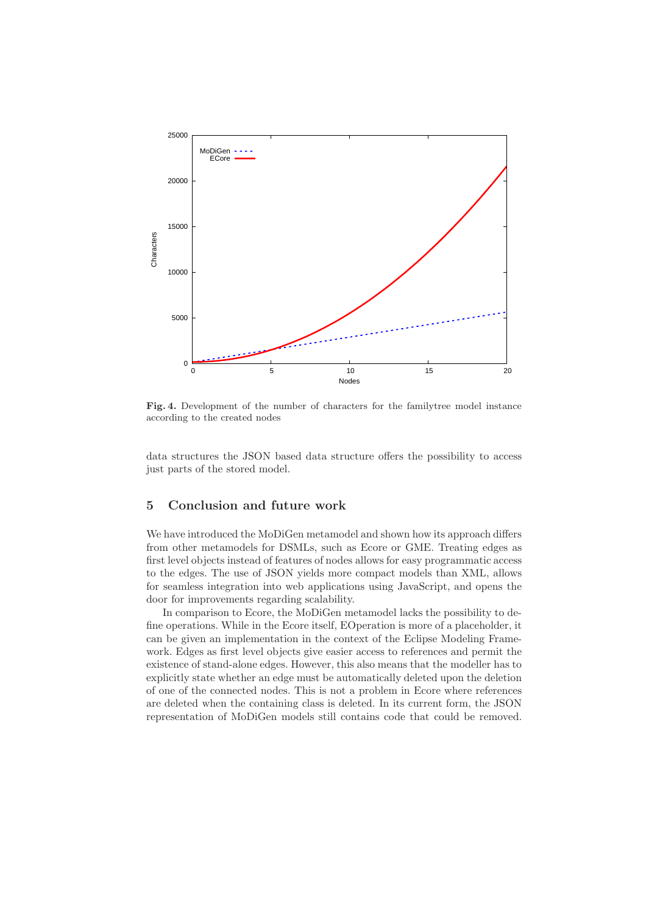

Fig. 4. Development of the number of characters for the familytree model instance according to the created nodes

data structures the JSON based data structure offers the possibility to access just parts of the stored model.

# 5 Conclusion and future work

We have introduced the MoDiGen metamodel and shown how its approach differs from other metamodels for DSMLs, such as Ecore or GME. Treating edges as first level objects instead of features of nodes allows for easy programmatic access to the edges. The use of JSON yields more compact models than XML, allows for seamless integration into web applications using JavaScript, and opens the door for improvements regarding scalability.

In comparison to Ecore, the MoDiGen metamodel lacks the possibility to define operations. While in the Ecore itself, EOperation is more of a placeholder, it can be given an implementation in the context of the Eclipse Modeling Framework. Edges as first level objects give easier access to references and permit the existence of stand-alone edges. However, this also means that the modeller has to explicitly state whether an edge must be automatically deleted upon the deletion of one of the connected nodes. This is not a problem in Ecore where references are deleted when the containing class is deleted. In its current form, the JSON representation of MoDiGen models still contains code that could be removed.